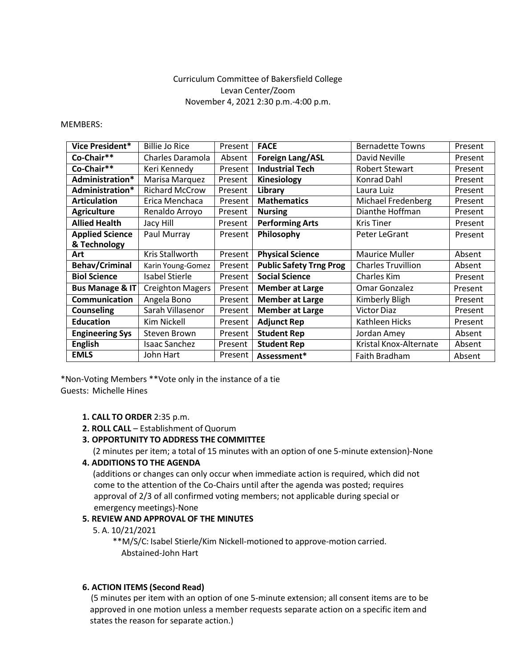# Curriculum Committee of Bakersfield College Levan Center/Zoom November 4, 2021 2:30 p.m.-4:00 p.m.

MEMBERS:

| Vice President*            | <b>Billie Jo Rice</b>   | Present | <b>FACE</b>                    | <b>Bernadette Towns</b>   | Present |
|----------------------------|-------------------------|---------|--------------------------------|---------------------------|---------|
| Co-Chair**                 | Charles Daramola        | Absent  | <b>Foreign Lang/ASL</b>        | David Neville             | Present |
| Co-Chair**                 | Keri Kennedy            | Present | <b>Industrial Tech</b>         | <b>Robert Stewart</b>     | Present |
| Administration*            | Marisa Marquez          | Present | Kinesiology                    | Konrad Dahl               | Present |
| Administration*            | <b>Richard McCrow</b>   | Present | Library                        | Laura Luiz                | Present |
| <b>Articulation</b>        | Erica Menchaca          | Present | <b>Mathematics</b>             | <b>Michael Fredenberg</b> | Present |
| <b>Agriculture</b>         | Renaldo Arroyo          | Present | <b>Nursing</b>                 | Dianthe Hoffman           | Present |
| <b>Allied Health</b>       | Jacy Hill               | Present | <b>Performing Arts</b>         | <b>Kris Tiner</b>         | Present |
| <b>Applied Science</b>     | Paul Murray             | Present | Philosophy                     | Peter LeGrant             | Present |
| & Technology               |                         |         |                                |                           |         |
| Art                        | Kris Stallworth         | Present | <b>Physical Science</b>        | <b>Maurice Muller</b>     | Absent  |
| <b>Behav/Criminal</b>      | Karin Young-Gomez       | Present | <b>Public Safety Trng Prog</b> | <b>Charles Truvillion</b> | Absent  |
| <b>Biol Science</b>        | Isabel Stierle          | Present | <b>Social Science</b>          | Charles Kim               | Present |
| <b>Bus Manage &amp; IT</b> | <b>Creighton Magers</b> | Present | <b>Member at Large</b>         | Omar Gonzalez             | Present |
| Communication              | Angela Bono             | Present | <b>Member at Large</b>         | Kimberly Bligh            | Present |
| <b>Counseling</b>          | Sarah Villasenor        | Present | <b>Member at Large</b>         | <b>Victor Diaz</b>        | Present |
| <b>Education</b>           | Kim Nickell             | Present | <b>Adjunct Rep</b>             | Kathleen Hicks            | Present |
| <b>Engineering Sys</b>     | Steven Brown            | Present | <b>Student Rep</b>             | Jordan Amey               | Absent  |
| <b>English</b>             | Isaac Sanchez           | Present | <b>Student Rep</b>             | Kristal Knox-Alternate    | Absent  |
| <b>EMLS</b>                | John Hart               | Present | Assessment*                    | Faith Bradham             | Absent  |

\*Non-Voting Members \*\*Vote only in the instance of a tie Guests: Michelle Hines

### **1. CALL TO ORDER** 2:35 p.m.

**2. ROLL CALL** – Establishment of Quorum

### **3. OPPORTUNITY TO ADDRESS THE COMMITTEE**

(2 minutes per item; a total of 15 minutes with an option of one 5-minute extension)-None

### **4. ADDITIONS TO THE AGENDA**

(additions or changes can only occur when immediate action is required, which did not come to the attention of the Co-Chairs until after the agenda was posted; requires approval of 2/3 of all confirmed voting members; not applicable during special or emergency meetings)-None

### **5. REVIEW AND APPROVAL OF THE MINUTES**

5. A. 10/21/2021

\*\*M/S/C: Isabel Stierle/Kim Nickell-motioned to approve-motion carried. Abstained-John Hart

### **6. ACTION ITEMS (Second Read)**

(5 minutes per item with an option of one 5-minute extension; all consent items are to be approved in one motion unless a member requests separate action on a specific item and states the reason for separate action.)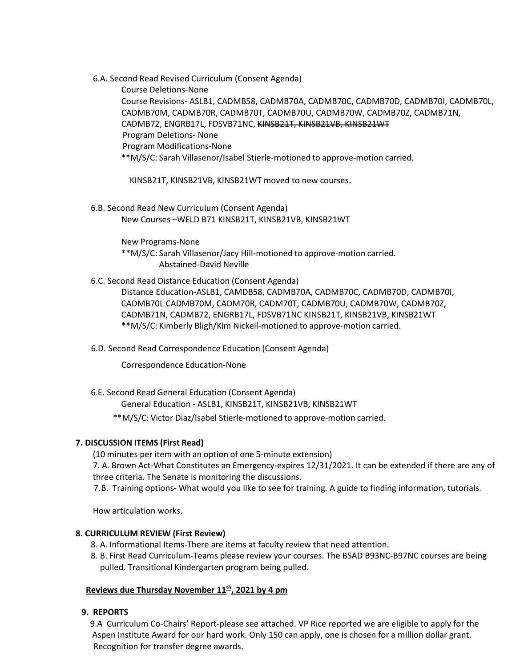6.A. Second Read Revised Curriculum (Consent Agenda)

Course Deletions-None Course Revisions- ASLB1, CADMB58, CADMB70A, CADMB70C, CADMB70D, CADMB70I, CADMB70L, CADMB70M, CADMB70R, CADMB70T, CADMB70U, CADMB70W, CADMB70Z, CADMB71N, CADMB72, ENGRB17L, FDSVB71NC, KINSB21T, KINSB21VB, KINSB21WT Program Deletions- None Program Modifications-None \*\*M/S/C: Sarah Villasenor/Isabel Stierle-motioned to approve-motion carried.

KINSB21T, KINSB21VB, KINSB21WT moved to new courses.

6.B. Second Read New Curriculum (Consent Agenda) New Courses –WELD B71 KINSB21T, KINSB21VB, KINSB21WT

> New Programs-None \*\*M/S/C: Sarah Villasenor/Jacy Hill-motioned to approve-motion carried. Abstained-David Neville

6.C. Second Read Distance Education (Consent Agenda)

Distance Education-ASLB1, CAMDB58, CADMB70A, CADMB70C, CADMB70D, CADMB70I, CADMB70L CADMB70M, CADM70R, CADM70T, CADMB70U, CADMB70W, CADMB70Z, CADMB71N, CADMB72, ENGRB17L, FDSVB71NC KINSB21T, KINSB21VB, KINSB21WT \*\*M/S/C: Kimberly Bligh/Kim Nickell-motioned to approve-motion carried.

6.D. Second Read Correspondence Education (Consent Agenda)

Correspondence Education-None

6.E. Second Read General Education (Consent Agenda)

General Education - ASLB1, KINSB21T, KINSB21VB, KINSB21WT

\*\*M/S/C: Victor Diaz/Isabel Stierle-motioned to approve-motion carried.

## **7. DISCUSSION ITEMS (First Read)**

(10 minutes per item with an option of one 5-minute extension)

7. A. Brown Act-What Constitutes an Emergency-expires 12/31/2021. It can be extended if there are any of three criteria. The Senate is monitoring the discussions.

7.B. Training options- What would you like to see for training. A guide to finding information, tutorials.

How articulation works.

## **8. CURRICULUM REVIEW (First Review)**

- 8. A. Informational Items-There are items at faculty review that need attention.
- 8. B. First Read Curriculum-Teams please review your courses. The BSAD B93NC-B97NC courses are being pulled. Transitional Kindergarten program being pulled.

## Reviews due Thursday November 11<sup>th</sup>, 2021 by 4 pm

## **9. REPORTS**

9.A Curriculum Co-Chairs' Report-please see attached. VP Rice reported we are eligible to apply for the Aspen Institute Award for our hard work. Only 150 can apply, one is chosen for a million dollar grant. Recognition for transfer degree awards.